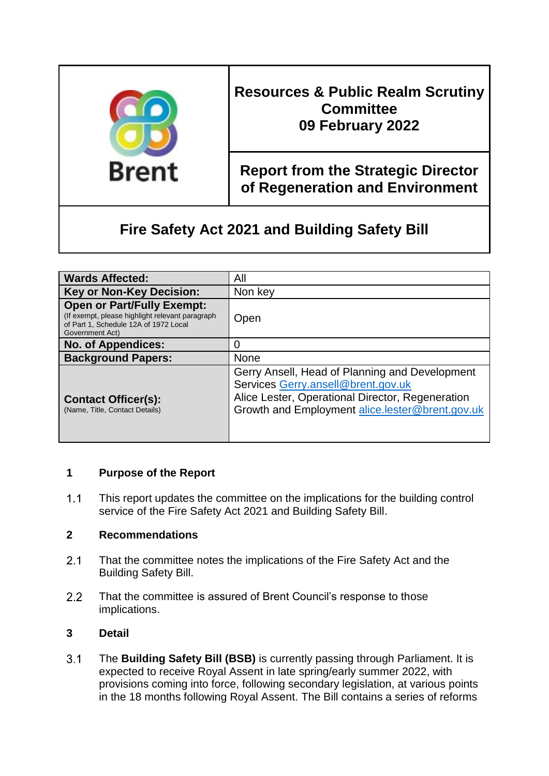

# **Resources & Public Realm Scrutiny Committee 09 February 2022**

# **Report from the Strategic Director of Regeneration and Environment**

# **Fire Safety Act 2021 and Building Safety Bill**

| <b>Wards Affected:</b>                                                                                                                           | All                                                                                                                                                                                         |
|--------------------------------------------------------------------------------------------------------------------------------------------------|---------------------------------------------------------------------------------------------------------------------------------------------------------------------------------------------|
| <b>Key or Non-Key Decision:</b>                                                                                                                  | Non key                                                                                                                                                                                     |
| <b>Open or Part/Fully Exempt:</b><br>(If exempt, please highlight relevant paragraph<br>of Part 1, Schedule 12A of 1972 Local<br>Government Act) | Open                                                                                                                                                                                        |
| <b>No. of Appendices:</b>                                                                                                                        |                                                                                                                                                                                             |
| <b>Background Papers:</b>                                                                                                                        | None                                                                                                                                                                                        |
| <b>Contact Officer(s):</b><br>(Name, Title, Contact Details)                                                                                     | Gerry Ansell, Head of Planning and Development<br>Services Gerry.ansell@brent.gov.uk<br>Alice Lester, Operational Director, Regeneration<br>Growth and Employment alice.lester@brent.gov.uk |

# **1 Purpose of the Report**

 $1.1$ This report updates the committee on the implications for the building control service of the Fire Safety Act 2021 and Building Safety Bill.

#### **2 Recommendations**

- $2.1$ That the committee notes the implications of the Fire Safety Act and the Building Safety Bill.
- $2.2$ That the committee is assured of Brent Council's response to those implications.

#### **3 Detail**

 $3.1$ The **Building Safety Bill (BSB)** is currently passing through Parliament. It is expected to receive Royal Assent in late spring/early summer 2022, with provisions coming into force, following secondary legislation, at various points in the 18 months following Royal Assent. The Bill contains a series of reforms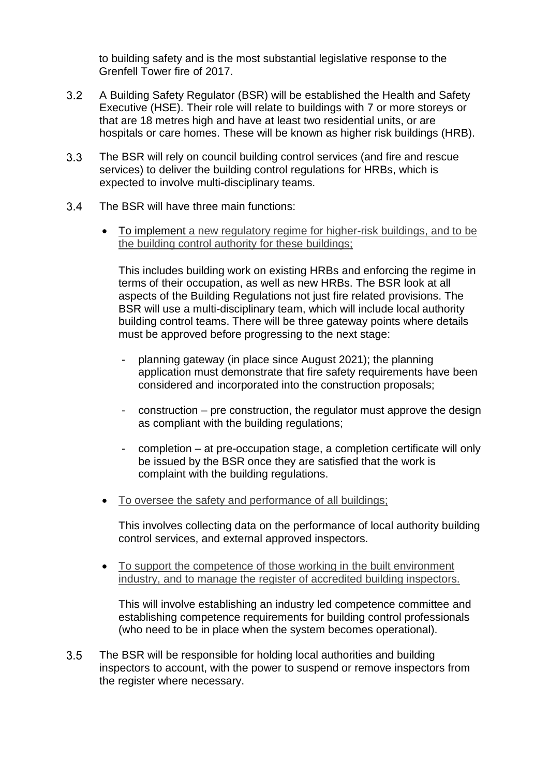to building safety and is the most substantial legislative response to the Grenfell Tower fire of 2017.

- $3.2$ A Building Safety Regulator (BSR) will be established the Health and Safety Executive (HSE). Their role will relate to buildings with 7 or more storeys or that are 18 metres high and have at least two residential units, or are hospitals or care homes. These will be known as higher risk buildings (HRB).
- $3.3$ The BSR will rely on council building control services (and fire and rescue services) to deliver the building control regulations for HRBs, which is expected to involve multi-disciplinary teams.
- $3.4$ The BSR will have three main functions:
	- To implement a new regulatory regime for higher-risk buildings, and to be the building control authority for these buildings;

This includes building work on existing HRBs and enforcing the regime in terms of their occupation, as well as new HRBs. The BSR look at all aspects of the Building Regulations not just fire related provisions. The BSR will use a multi-disciplinary team, which will include local authority building control teams. There will be three gateway points where details must be approved before progressing to the next stage:

- planning gateway (in place since August 2021); the planning application must demonstrate that fire safety requirements have been considered and incorporated into the construction proposals;
- construction pre construction, the regulator must approve the design as compliant with the building regulations;
- completion at pre-occupation stage, a completion certificate will only be issued by the BSR once they are satisfied that the work is complaint with the building regulations.
- To oversee the safety and performance of all buildings;

This involves collecting data on the performance of local authority building control services, and external approved inspectors.

 To support the competence of those working in the built environment industry, and to manage the register of accredited building inspectors.

This will involve establishing an industry led competence committee and establishing competence requirements for building control professionals (who need to be in place when the system becomes operational).

 $3.5$ The BSR will be responsible for holding local authorities and building inspectors to account, with the power to suspend or remove inspectors from the register where necessary.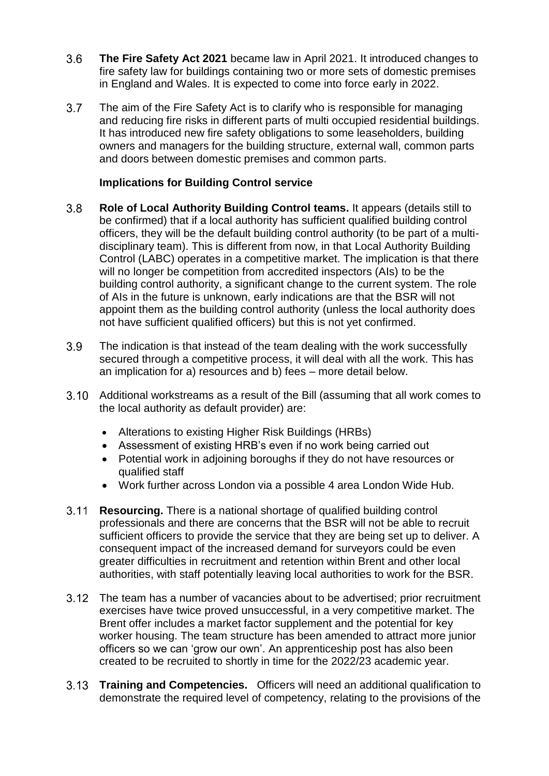- $3.6$ **The Fire Safety Act 2021** became law in April 2021. It introduced changes to fire safety law for buildings containing two or more sets of domestic premises in England and Wales. It is expected to come into force early in 2022.
- $3.7$ The aim of the Fire Safety Act is to clarify who is responsible for managing and reducing fire risks in different parts of multi occupied residential buildings. It has introduced new fire safety obligations to some leaseholders, building owners and managers for the building structure, external wall, common parts and doors between domestic premises and common parts.

#### **Implications for Building Control service**

- $3.8$ **Role of Local Authority Building Control teams.** It appears (details still to be confirmed) that if a local authority has sufficient qualified building control officers, they will be the default building control authority (to be part of a multidisciplinary team). This is different from now, in that Local Authority Building Control (LABC) operates in a competitive market. The implication is that there will no longer be competition from accredited inspectors (AIs) to be the building control authority, a significant change to the current system. The role of AIs in the future is unknown, early indications are that the BSR will not appoint them as the building control authority (unless the local authority does not have sufficient qualified officers) but this is not yet confirmed.
- $3.9$ The indication is that instead of the team dealing with the work successfully secured through a competitive process, it will deal with all the work. This has an implication for a) resources and b) fees – more detail below.
- $3.10$ Additional workstreams as a result of the Bill (assuming that all work comes to the local authority as default provider) are:
	- Alterations to existing Higher Risk Buildings (HRBs)
	- Assessment of existing HRB's even if no work being carried out
	- Potential work in adjoining boroughs if they do not have resources or qualified staff
	- Work further across London via a possible 4 area London Wide Hub.
- $3.11$ **Resourcing.** There is a national shortage of qualified building control professionals and there are concerns that the BSR will not be able to recruit sufficient officers to provide the service that they are being set up to deliver. A consequent impact of the increased demand for surveyors could be even greater difficulties in recruitment and retention within Brent and other local authorities, with staff potentially leaving local authorities to work for the BSR.
- The team has a number of vacancies about to be advertised; prior recruitment exercises have twice proved unsuccessful, in a very competitive market. The Brent offer includes a market factor supplement and the potential for key worker housing. The team structure has been amended to attract more junior officers so we can 'grow our own'. An apprenticeship post has also been created to be recruited to shortly in time for the 2022/23 academic year.
- **Training and Competencies.** Officers will need an additional qualification to demonstrate the required level of competency, relating to the provisions of the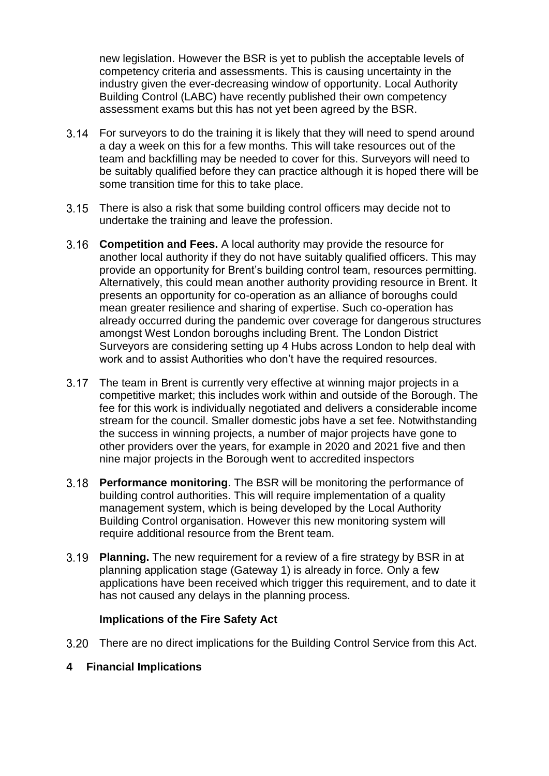new legislation. However the BSR is yet to publish the acceptable levels of competency criteria and assessments. This is causing uncertainty in the industry given the ever-decreasing window of opportunity. Local Authority Building Control (LABC) have recently published their own competency assessment exams but this has not yet been agreed by the BSR.

- For surveyors to do the training it is likely that they will need to spend around a day a week on this for a few months. This will take resources out of the team and backfilling may be needed to cover for this. Surveyors will need to be suitably qualified before they can practice although it is hoped there will be some transition time for this to take place.
- There is also a risk that some building control officers may decide not to undertake the training and leave the profession.
- **Competition and Fees.** A local authority may provide the resource for another local authority if they do not have suitably qualified officers. This may provide an opportunity for Brent's building control team, resources permitting. Alternatively, this could mean another authority providing resource in Brent. It presents an opportunity for co-operation as an alliance of boroughs could mean greater resilience and sharing of expertise. Such co-operation has already occurred during the pandemic over coverage for dangerous structures amongst West London boroughs including Brent. The London District Surveyors are considering setting up 4 Hubs across London to help deal with work and to assist Authorities who don't have the required resources.
- 3.17 The team in Brent is currently very effective at winning major projects in a competitive market; this includes work within and outside of the Borough. The fee for this work is individually negotiated and delivers a considerable income stream for the council. Smaller domestic jobs have a set fee. Notwithstanding the success in winning projects, a number of major projects have gone to other providers over the years, for example in 2020 and 2021 five and then nine major projects in the Borough went to accredited inspectors
- **Performance monitoring**. The BSR will be monitoring the performance of building control authorities. This will require implementation of a quality management system, which is being developed by the Local Authority Building Control organisation. However this new monitoring system will require additional resource from the Brent team.
- **Planning.** The new requirement for a review of a fire strategy by BSR in at planning application stage (Gateway 1) is already in force. Only a few applications have been received which trigger this requirement, and to date it has not caused any delays in the planning process.

#### **Implications of the Fire Safety Act**

There are no direct implications for the Building Control Service from this Act.

#### **4 Financial Implications**